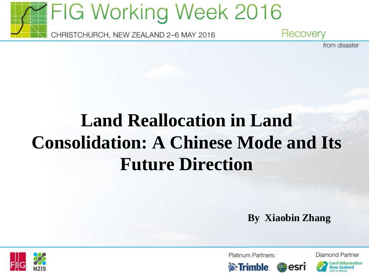

**Land Reallocation in Land Consolidation: A Chinese Mode and Its Future Direction**

**By Xiaobin Zhang**

esri



Platinum Partners:





Diamond Partner

from disaster

**Extrimble**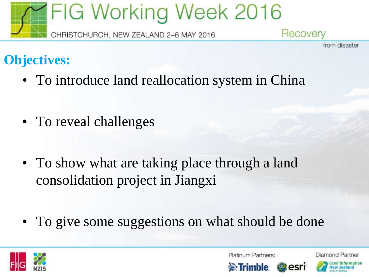

#### from disaster

## **Objectives:**

- To introduce land reallocation system in China
- To reveal challenges
- To show what are taking place through a land consolidation project in Jiangxi
- To give some suggestions on what should be done



Platinum Partners:

Diamond Partner





esr

and Information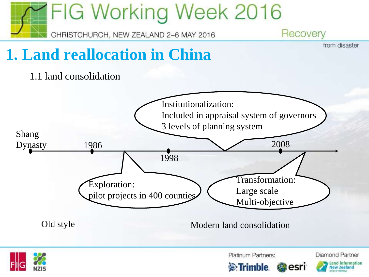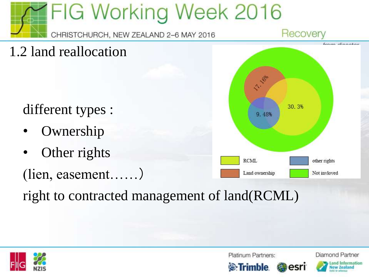

right to contracted management of land(RCML)



Platinum Partners:

Diamond Partner

ew Tealand



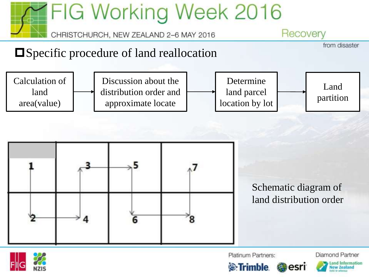



Platinum Partners:

**S**:Trimble



esri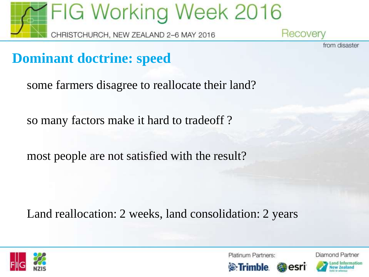

from disaster

### **Dominant doctrine: speed**

some farmers disagree to reallocate their land?

so many factors make it hard to tradeoff ?

most people are not satisfied with the result?

Land reallocation: 2 weeks, land consolidation: 2 years



Platinum Partners:

**S**:Trimble



esri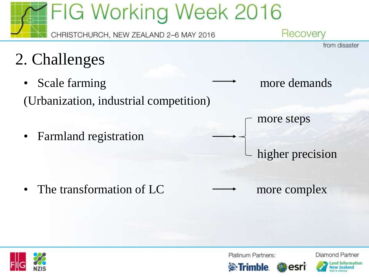

esri



Platinum Partners:

**S**:Trimble



**Diamond Partner**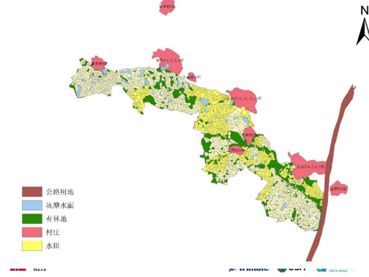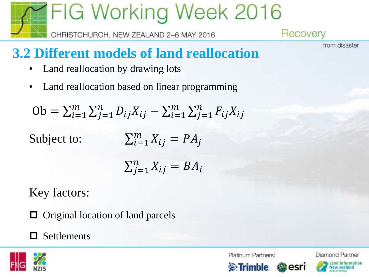

## **3.2 Different models of land reallocation**

- Land reallocation by drawing lots
- Land reallocation based on linear programming

 $\text{Ob} = \sum_{i=1}^{m} \sum_{j=1}^{n} D_{ij} X_{ij} - \sum_{i=1}^{m} \sum_{j=1}^{n} F_{ij} X_{ij}$ 

Subject to:  $\sum_{i=1}^m X_{ij} = PA_i$ 

$$
\sum_{j=1}^{n} X_{ij} = BA_i
$$

Key factors:

 $\Box$  Original location of land parcels

#### $\Box$  Settlements



Platinum Partners:

Diamond Partner Land Information

from disaster



esri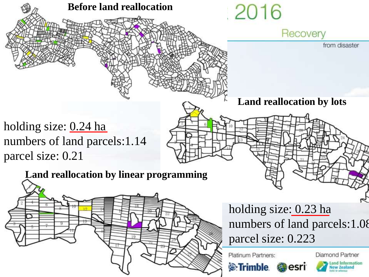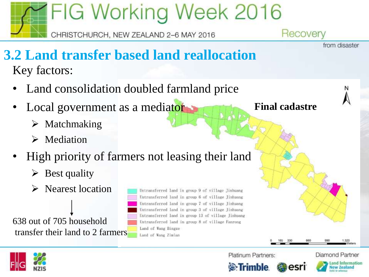

w Tealand

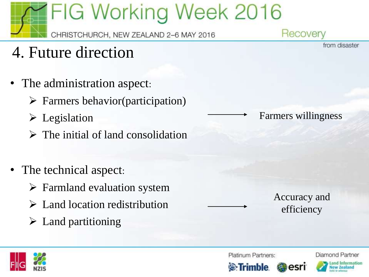## **FIG Working Week 2016** Recovery

- CHRISTCHURCH, NEW ZEALAND 2-6 MAY 2016
- 4. Future direction
- The administration aspect:
	- $\triangleright$  Farmers behavior(participation)
	- ➢ Legislation
	- ➢ The initial of land consolidation
- The technical aspect:
	- ➢ Farmland evaluation system
	- ➢ Land location redistribution
	- $\triangleright$  Land partitioning

Farmers willingness

Accuracy and efficiency



Platinum Partners:

Diamond Partner and Information

from disaster



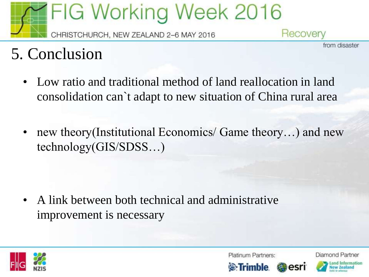

## 5. Conclusion

- Low ratio and traditional method of land reallocation in land consolidation can`t adapt to new situation of China rural area
- new theory(Institutional Economics/ Game theory...) and new technology(GIS/SDSS…)

• A link between both technical and administrative improvement is necessary



Platinum Partners:

**S**: Trimble



esri

Diamond Partner

from disaster